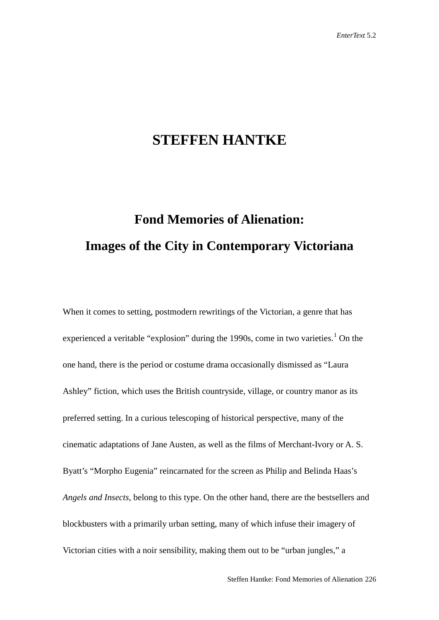## **STEFFEN HANTKE**

## **Fond Memories of Alienation: Images of the City in Contemporary Victoriana**

When it comes to setting, postmodern rewritings of the Victorian, a genre that has experienced a veritable "explosion" during the [1](#page-24-0)990s, come in two varieties.<sup>1</sup> On the one hand, there is the period or costume drama occasionally dismissed as "Laura Ashley" fiction, which uses the British countryside, village, or country manor as its preferred setting. In a curious telescoping of historical perspective, many of the cinematic adaptations of Jane Austen, as well as the films of Merchant-Ivory or A. S. Byatt's "Morpho Eugenia" reincarnated for the screen as Philip and Belinda Haas's *Angels and Insects*, belong to this type. On the other hand, there are the bestsellers and blockbusters with a primarily urban setting, many of which infuse their imagery of Victorian cities with a noir sensibility, making them out to be "urban jungles," a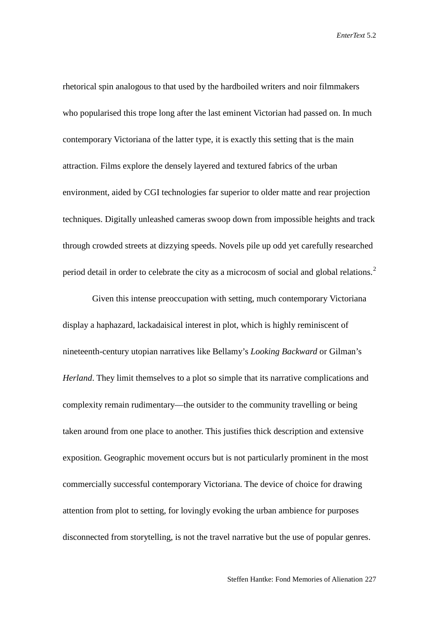rhetorical spin analogous to that used by the hardboiled writers and noir filmmakers who popularised this trope long after the last eminent Victorian had passed on. In much contemporary Victoriana of the latter type, it is exactly this setting that is the main attraction. Films explore the densely layered and textured fabrics of the urban environment, aided by CGI technologies far superior to older matte and rear projection techniques. Digitally unleashed cameras swoop down from impossible heights and track through crowded streets at dizzying speeds. Novels pile up odd yet carefully researched period detail in order to celebrate the city as a microcosm of social and global relations.<sup>[2](#page-25-0)</sup>

Given this intense preoccupation with setting, much contemporary Victoriana display a haphazard, lackadaisical interest in plot, which is highly reminiscent of nineteenth-century utopian narratives like Bellamy's *Looking Backward* or Gilman's *Herland*. They limit themselves to a plot so simple that its narrative complications and complexity remain rudimentary—the outsider to the community travelling or being taken around from one place to another. This justifies thick description and extensive exposition. Geographic movement occurs but is not particularly prominent in the most commercially successful contemporary Victoriana. The device of choice for drawing attention from plot to setting, for lovingly evoking the urban ambience for purposes disconnected from storytelling, is not the travel narrative but the use of popular genres.

Steffen Hantke: Fond Memories of Alienation 227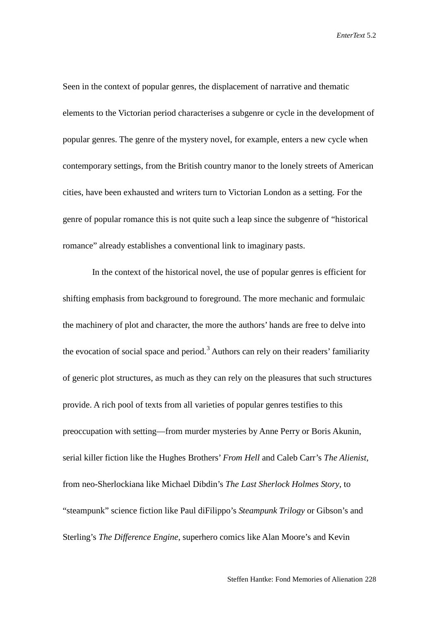Seen in the context of popular genres, the displacement of narrative and thematic elements to the Victorian period characterises a subgenre or cycle in the development of popular genres. The genre of the mystery novel, for example, enters a new cycle when contemporary settings, from the British country manor to the lonely streets of American cities, have been exhausted and writers turn to Victorian London as a setting. For the genre of popular romance this is not quite such a leap since the subgenre of "historical romance" already establishes a conventional link to imaginary pasts.

In the context of the historical novel, the use of popular genres is efficient for shifting emphasis from background to foreground. The more mechanic and formulaic the machinery of plot and character, the more the authors' hands are free to delve into the evocation of social space and period.<sup>[3](#page-25-1)</sup> Authors can rely on their readers' familiarity of generic plot structures, as much as they can rely on the pleasures that such structures provide. A rich pool of texts from all varieties of popular genres testifies to this preoccupation with setting—from murder mysteries by Anne Perry or Boris Akunin, serial killer fiction like the Hughes Brothers' *From Hell* and Caleb Carr's *The Alienist*, from neo-Sherlockiana like Michael Dibdin's *The Last Sherlock Holmes Story*, to "steampunk" science fiction like Paul diFilippo's *Steampunk Trilogy* or Gibson's and Sterling's *The Difference Engine*, superhero comics like Alan Moore's and Kevin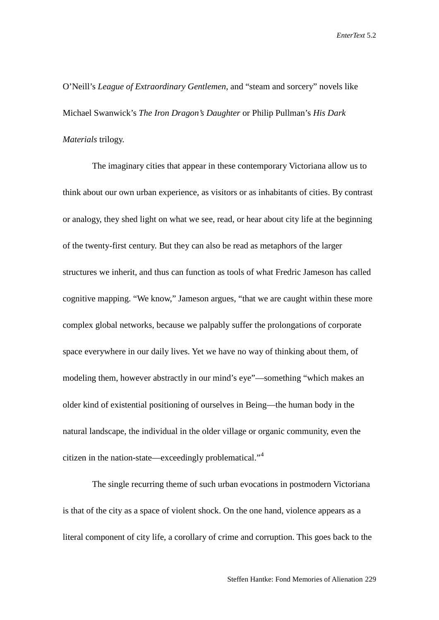O'Neill's *League of Extraordinary Gentlemen*, and "steam and sorcery" novels like Michael Swanwick's *The Iron Dragon's Daughter* or Philip Pullman's *His Dark Materials* trilogy.

The imaginary cities that appear in these contemporary Victoriana allow us to think about our own urban experience, as visitors or as inhabitants of cities. By contrast or analogy, they shed light on what we see, read, or hear about city life at the beginning of the twenty-first century. But they can also be read as metaphors of the larger structures we inherit, and thus can function as tools of what Fredric Jameson has called cognitive mapping. "We know," Jameson argues, "that we are caught within these more complex global networks, because we palpably suffer the prolongations of corporate space everywhere in our daily lives. Yet we have no way of thinking about them, of modeling them, however abstractly in our mind's eye"—something "which makes an older kind of existential positioning of ourselves in Being—the human body in the natural landscape, the individual in the older village or organic community, even the citizen in the nation-state—exceedingly problematical."[4](#page-25-2)

The single recurring theme of such urban evocations in postmodern Victoriana is that of the city as a space of violent shock. On the one hand, violence appears as a literal component of city life, a corollary of crime and corruption. This goes back to the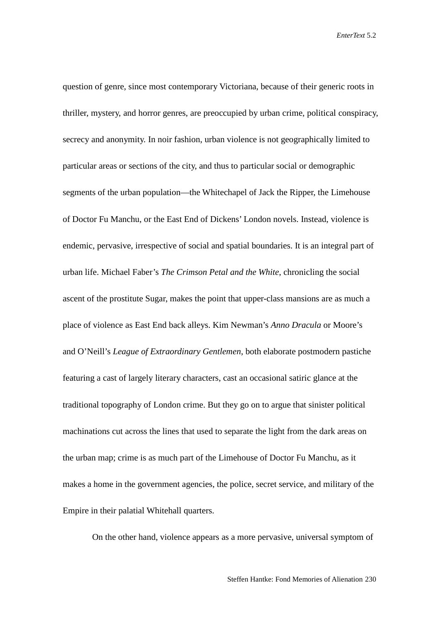question of genre, since most contemporary Victoriana, because of their generic roots in thriller, mystery, and horror genres, are preoccupied by urban crime, political conspiracy, secrecy and anonymity. In noir fashion, urban violence is not geographically limited to particular areas or sections of the city, and thus to particular social or demographic segments of the urban population—the Whitechapel of Jack the Ripper, the Limehouse of Doctor Fu Manchu, or the East End of Dickens' London novels. Instead, violence is endemic, pervasive, irrespective of social and spatial boundaries. It is an integral part of urban life. Michael Faber's *The Crimson Petal and the White*, chronicling the social ascent of the prostitute Sugar, makes the point that upper-class mansions are as much a place of violence as East End back alleys. Kim Newman's *Anno Dracula* or Moore's and O'Neill's *League of Extraordinary Gentlemen*, both elaborate postmodern pastiche featuring a cast of largely literary characters, cast an occasional satiric glance at the traditional topography of London crime. But they go on to argue that sinister political machinations cut across the lines that used to separate the light from the dark areas on the urban map; crime is as much part of the Limehouse of Doctor Fu Manchu, as it makes a home in the government agencies, the police, secret service, and military of the Empire in their palatial Whitehall quarters.

On the other hand, violence appears as a more pervasive, universal symptom of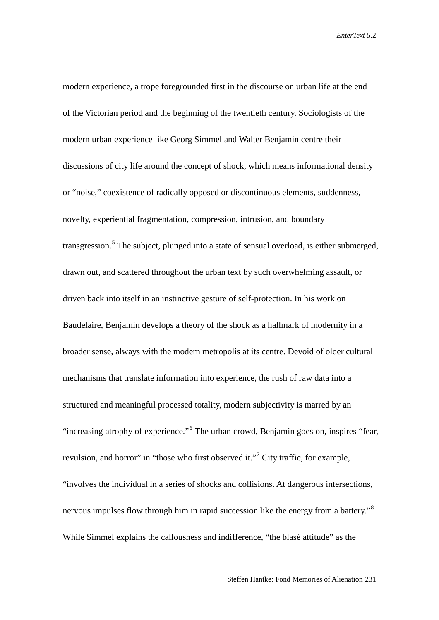modern experience, a trope foregrounded first in the discourse on urban life at the end of the Victorian period and the beginning of the twentieth century. Sociologists of the modern urban experience like Georg Simmel and Walter Benjamin centre their discussions of city life around the concept of shock, which means informational density or "noise," coexistence of radically opposed or discontinuous elements, suddenness, novelty, experiential fragmentation, compression, intrusion, and boundary transgression.<sup>[5](#page-26-0)</sup> The subject, plunged into a state of sensual overload, is either submerged, drawn out, and scattered throughout the urban text by such overwhelming assault, or driven back into itself in an instinctive gesture of self-protection. In his work on Baudelaire, Benjamin develops a theory of the shock as a hallmark of modernity in a broader sense, always with the modern metropolis at its centre. Devoid of older cultural mechanisms that translate information into experience, the rush of raw data into a structured and meaningful processed totality, modern subjectivity is marred by an "increasing atrophy of experience."[6](#page-26-1) The urban crowd, Benjamin goes on, inspires "fear, revulsion, and horror" in "those who first observed it."<sup>[7](#page-26-2)</sup> City traffic, for example, "involves the individual in a series of shocks and collisions. At dangerous intersections, nervous impulses flow through him in rapid succession like the energy from a battery."<sup>[8](#page-26-3)</sup> While Simmel explains the callousness and indifference, "the blasé attitude" as the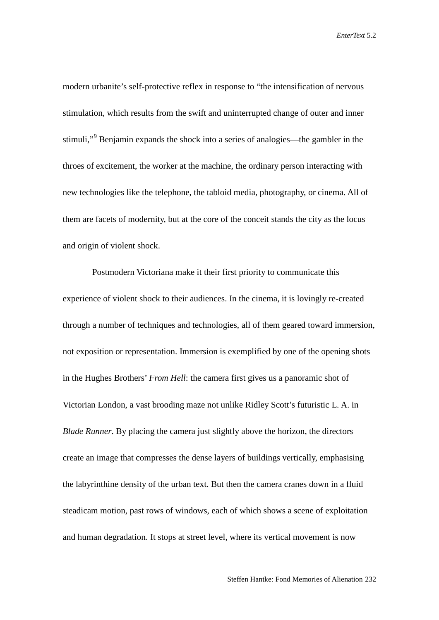modern urbanite's self-protective reflex in response to "the intensification of nervous stimulation, which results from the swift and uninterrupted change of outer and inner stimuli,"<sup>[9](#page-26-4)</sup> Benjamin expands the shock into a series of analogies—the gambler in the throes of excitement, the worker at the machine, the ordinary person interacting with new technologies like the telephone, the tabloid media, photography, or cinema. All of them are facets of modernity, but at the core of the conceit stands the city as the locus and origin of violent shock.

Postmodern Victoriana make it their first priority to communicate this experience of violent shock to their audiences. In the cinema, it is lovingly re-created through a number of techniques and technologies, all of them geared toward immersion, not exposition or representation. Immersion is exemplified by one of the opening shots in the Hughes Brothers' *From Hell*: the camera first gives us a panoramic shot of Victorian London, a vast brooding maze not unlike Ridley Scott's futuristic L. A. in *Blade Runner*. By placing the camera just slightly above the horizon, the directors create an image that compresses the dense layers of buildings vertically, emphasising the labyrinthine density of the urban text. But then the camera cranes down in a fluid steadicam motion, past rows of windows, each of which shows a scene of exploitation and human degradation. It stops at street level, where its vertical movement is now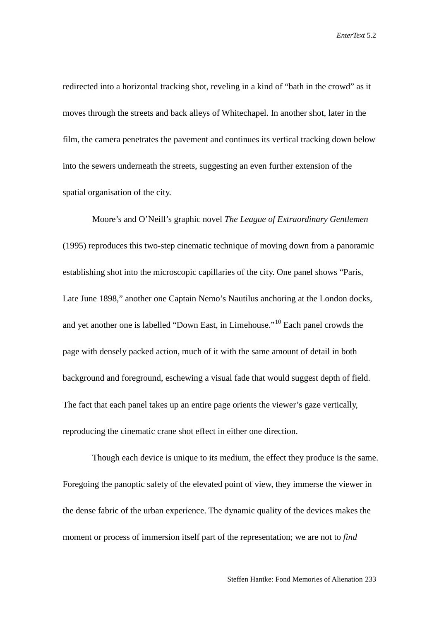redirected into a horizontal tracking shot, reveling in a kind of "bath in the crowd" as it moves through the streets and back alleys of Whitechapel. In another shot, later in the film, the camera penetrates the pavement and continues its vertical tracking down below into the sewers underneath the streets, suggesting an even further extension of the spatial organisation of the city.

Moore's and O'Neill's graphic novel *The League of Extraordinary Gentlemen* (1995) reproduces this two-step cinematic technique of moving down from a panoramic establishing shot into the microscopic capillaries of the city. One panel shows "Paris, Late June 1898," another one Captain Nemo's Nautilus anchoring at the London docks, and yet another one is labelled "Down East, in Limehouse."[10](#page-26-5) Each panel crowds the page with densely packed action, much of it with the same amount of detail in both background and foreground, eschewing a visual fade that would suggest depth of field. The fact that each panel takes up an entire page orients the viewer's gaze vertically, reproducing the cinematic crane shot effect in either one direction.

Though each device is unique to its medium, the effect they produce is the same. Foregoing the panoptic safety of the elevated point of view, they immerse the viewer in the dense fabric of the urban experience. The dynamic quality of the devices makes the moment or process of immersion itself part of the representation; we are not to *find*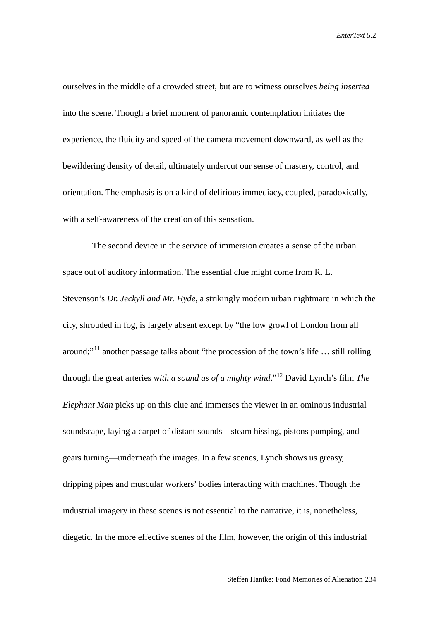ourselves in the middle of a crowded street, but are to witness ourselves *being inserted* into the scene. Though a brief moment of panoramic contemplation initiates the experience, the fluidity and speed of the camera movement downward, as well as the bewildering density of detail, ultimately undercut our sense of mastery, control, and orientation. The emphasis is on a kind of delirious immediacy, coupled, paradoxically, with a self-awareness of the creation of this sensation.

The second device in the service of immersion creates a sense of the urban space out of auditory information. The essential clue might come from R. L. Stevenson's *Dr. Jeckyll and Mr. Hyde*, a strikingly modern urban nightmare in which the city, shrouded in fog, is largely absent except by "the low growl of London from all around;"<sup>[11](#page-26-6)</sup> another passage talks about "the procession of the town's life ... still rolling through the great arteries *with a sound as of a mighty wind*."[12](#page-26-7) David Lynch's film *The Elephant Man* picks up on this clue and immerses the viewer in an ominous industrial soundscape, laying a carpet of distant sounds—steam hissing, pistons pumping, and gears turning—underneath the images. In a few scenes, Lynch shows us greasy, dripping pipes and muscular workers' bodies interacting with machines. Though the industrial imagery in these scenes is not essential to the narrative, it is, nonetheless, diegetic. In the more effective scenes of the film, however, the origin of this industrial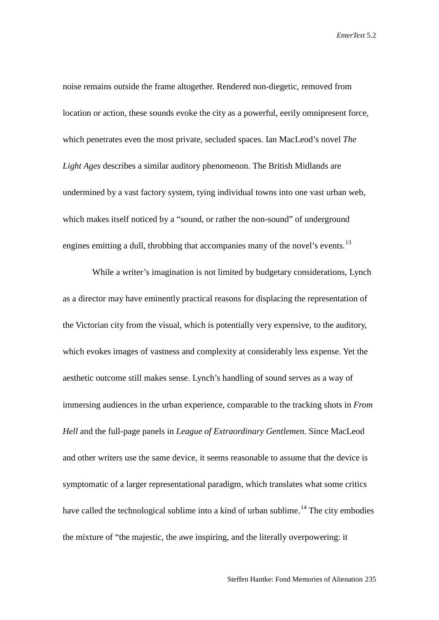noise remains outside the frame altogether. Rendered non-diegetic, removed from location or action, these sounds evoke the city as a powerful, eerily omnipresent force, which penetrates even the most private, secluded spaces. Ian MacLeod's novel *The Light Ages* describes a similar auditory phenomenon. The British Midlands are undermined by a vast factory system, tying individual towns into one vast urban web, which makes itself noticed by a "sound, or rather the non-sound" of underground engines emitting a dull, throbbing that accompanies many of the novel's events.<sup>[13](#page-26-8)</sup>

While a writer's imagination is not limited by budgetary considerations, Lynch as a director may have eminently practical reasons for displacing the representation of the Victorian city from the visual, which is potentially very expensive, to the auditory, which evokes images of vastness and complexity at considerably less expense. Yet the aesthetic outcome still makes sense. Lynch's handling of sound serves as a way of immersing audiences in the urban experience, comparable to the tracking shots in *From Hell* and the full-page panels in *League of Extraordinary Gentlemen*. Since MacLeod and other writers use the same device, it seems reasonable to assume that the device is symptomatic of a larger representational paradigm, which translates what some critics have called the technological sublime into a kind of urban sublime.<sup>[14](#page-26-9)</sup> The city embodies the mixture of "the majestic, the awe inspiring, and the literally overpowering: it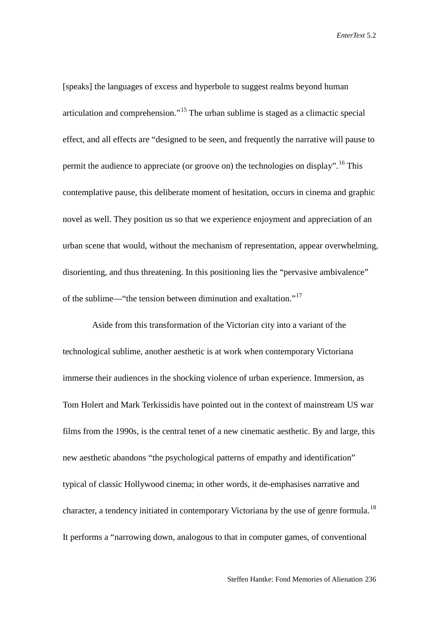[speaks] the languages of excess and hyperbole to suggest realms beyond human articulation and comprehension."[15](#page-26-10) The urban sublime is staged as a climactic special effect, and all effects are "designed to be seen, and frequently the narrative will pause to permit the audience to appreciate (or groove on) the technologies on display".<sup>[16](#page-26-11)</sup> This contemplative pause, this deliberate moment of hesitation, occurs in cinema and graphic novel as well. They position us so that we experience enjoyment and appreciation of an urban scene that would, without the mechanism of representation, appear overwhelming, disorienting, and thus threatening. In this positioning lies the "pervasive ambivalence" of the sublime—"the tension between diminution and exaltation."[17](#page-26-12)

Aside from this transformation of the Victorian city into a variant of the technological sublime, another aesthetic is at work when contemporary Victoriana immerse their audiences in the shocking violence of urban experience. Immersion, as Tom Holert and Mark Terkissidis have pointed out in the context of mainstream US war films from the 1990s, is the central tenet of a new cinematic aesthetic. By and large, this new aesthetic abandons "the psychological patterns of empathy and identification" typical of classic Hollywood cinema; in other words, it de-emphasises narrative and character, a tendency initiated in contemporary Victoriana by the use of genre formula.<sup>[18](#page-26-13)</sup> It performs a "narrowing down, analogous to that in computer games, of conventional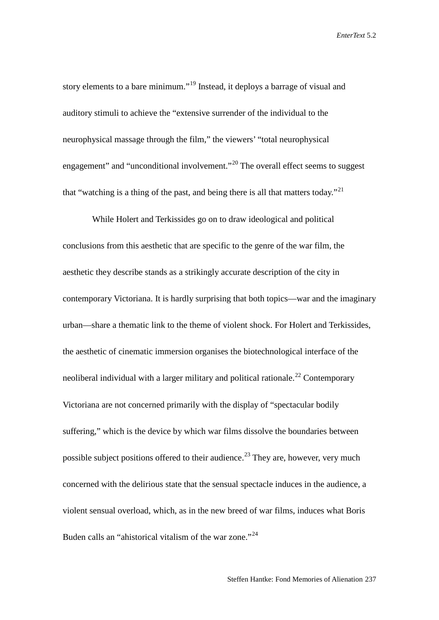story elements to a bare minimum."<sup>[19](#page-26-14)</sup> Instead, it deploys a barrage of visual and auditory stimuli to achieve the "extensive surrender of the individual to the neurophysical massage through the film," the viewers' "total neurophysical engagement" and "unconditional involvement."<sup>[20](#page-26-15)</sup> The overall effect seems to suggest that "watching is a thing of the past, and being there is all that matters today."<sup>[21](#page-26-16)</sup>

While Holert and Terkissides go on to draw ideological and political conclusions from this aesthetic that are specific to the genre of the war film, the aesthetic they describe stands as a strikingly accurate description of the city in contemporary Victoriana. It is hardly surprising that both topics—war and the imaginary urban—share a thematic link to the theme of violent shock. For Holert and Terkissides, the aesthetic of cinematic immersion organises the biotechnological interface of the neoliberal individual with a larger military and political rationale.<sup>[22](#page-26-17)</sup> Contemporary Victoriana are not concerned primarily with the display of "spectacular bodily suffering," which is the device by which war films dissolve the boundaries between possible subject positions offered to their audience.<sup>[23](#page-26-18)</sup> They are, however, very much concerned with the delirious state that the sensual spectacle induces in the audience, a violent sensual overload, which, as in the new breed of war films, induces what Boris Buden calls an "ahistorical vitalism of the war zone."<sup>[24](#page-26-19)</sup>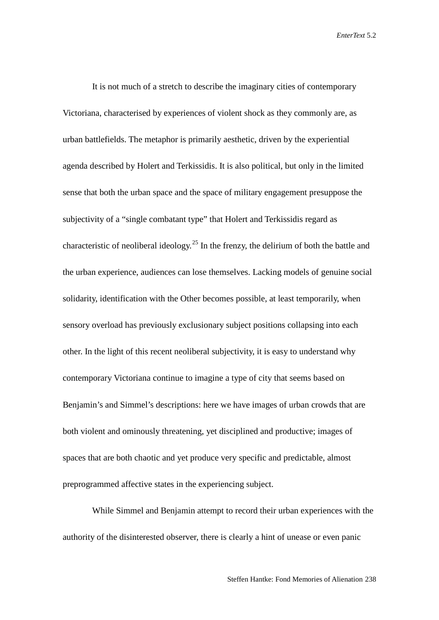It is not much of a stretch to describe the imaginary cities of contemporary Victoriana, characterised by experiences of violent shock as they commonly are, as urban battlefields. The metaphor is primarily aesthetic, driven by the experiential agenda described by Holert and Terkissidis. It is also political, but only in the limited sense that both the urban space and the space of military engagement presuppose the subjectivity of a "single combatant type" that Holert and Terkissidis regard as characteristic of neoliberal ideology.<sup>[25](#page-26-20)</sup> In the frenzy, the delirium of both the battle and the urban experience, audiences can lose themselves. Lacking models of genuine social solidarity, identification with the Other becomes possible, at least temporarily, when sensory overload has previously exclusionary subject positions collapsing into each other. In the light of this recent neoliberal subjectivity, it is easy to understand why contemporary Victoriana continue to imagine a type of city that seems based on Benjamin's and Simmel's descriptions: here we have images of urban crowds that are both violent and ominously threatening, yet disciplined and productive; images of spaces that are both chaotic and yet produce very specific and predictable, almost preprogrammed affective states in the experiencing subject.

While Simmel and Benjamin attempt to record their urban experiences with the authority of the disinterested observer, there is clearly a hint of unease or even panic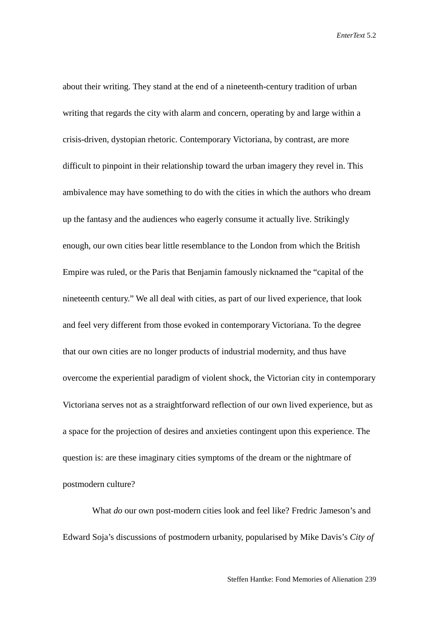about their writing. They stand at the end of a nineteenth-century tradition of urban writing that regards the city with alarm and concern, operating by and large within a crisis-driven, dystopian rhetoric. Contemporary Victoriana, by contrast, are more difficult to pinpoint in their relationship toward the urban imagery they revel in. This ambivalence may have something to do with the cities in which the authors who dream up the fantasy and the audiences who eagerly consume it actually live. Strikingly enough, our own cities bear little resemblance to the London from which the British Empire was ruled, or the Paris that Benjamin famously nicknamed the "capital of the nineteenth century." We all deal with cities, as part of our lived experience, that look and feel very different from those evoked in contemporary Victoriana. To the degree that our own cities are no longer products of industrial modernity, and thus have overcome the experiential paradigm of violent shock, the Victorian city in contemporary Victoriana serves not as a straightforward reflection of our own lived experience, but as a space for the projection of desires and anxieties contingent upon this experience. The question is: are these imaginary cities symptoms of the dream or the nightmare of postmodern culture?

What *do* our own post-modern cities look and feel like? Fredric Jameson's and Edward Soja's discussions of postmodern urbanity, popularised by Mike Davis's *City of*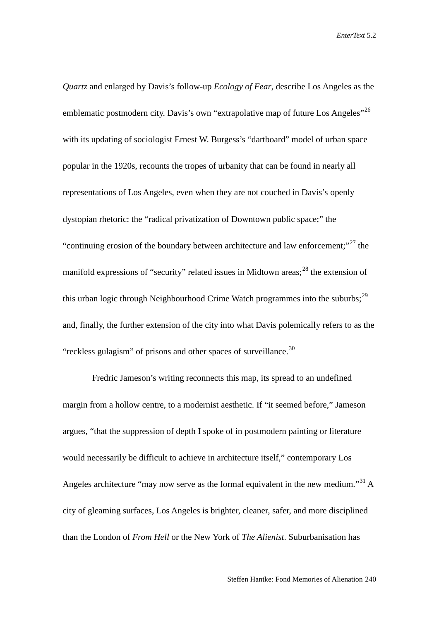*Quartz* and enlarged by Davis's follow-up *Ecology of Fear*, describe Los Angeles as the emblematic postmodern city. Davis's own "extrapolative map of future Los Angeles"<sup>[26](#page-26-21)</sup> with its updating of sociologist Ernest W. Burgess's "dartboard" model of urban space popular in the 1920s, recounts the tropes of urbanity that can be found in nearly all representations of Los Angeles, even when they are not couched in Davis's openly dystopian rhetoric: the "radical privatization of Downtown public space;" the "continuing erosion of the boundary between architecture and law enforcement;"<sup>[27](#page-26-22)</sup> the manifold expressions of "security" related issues in Midtown areas;<sup>[28](#page-26-23)</sup> the extension of this urban logic through Neighbourhood Crime Watch programmes into the suburbs;<sup>[29](#page-26-24)</sup> and, finally, the further extension of the city into what Davis polemically refers to as the "reckless gulagism" of prisons and other spaces of surveillance. $30$ 

Fredric Jameson's writing reconnects this map, its spread to an undefined margin from a hollow centre, to a modernist aesthetic. If "it seemed before," Jameson argues, "that the suppression of depth I spoke of in postmodern painting or literature would necessarily be difficult to achieve in architecture itself," contemporary Los Angeles architecture "may now serve as the formal equivalent in the new medium."<sup>[31](#page-26-26)</sup> A city of gleaming surfaces, Los Angeles is brighter, cleaner, safer, and more disciplined than the London of *From Hell* or the New York of *The Alienist*. Suburbanisation has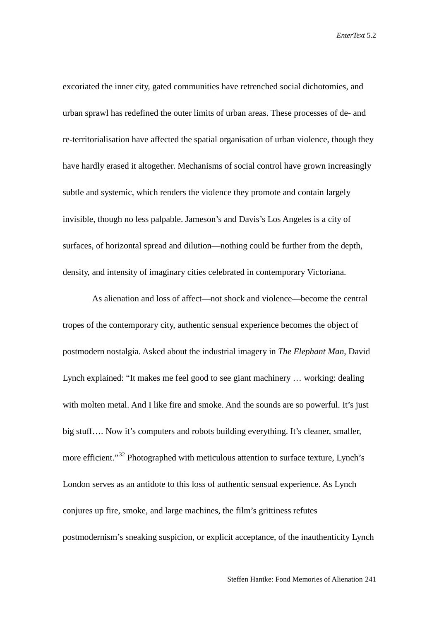excoriated the inner city, gated communities have retrenched social dichotomies, and urban sprawl has redefined the outer limits of urban areas. These processes of de- and re-territorialisation have affected the spatial organisation of urban violence, though they have hardly erased it altogether. Mechanisms of social control have grown increasingly subtle and systemic, which renders the violence they promote and contain largely invisible, though no less palpable. Jameson's and Davis's Los Angeles is a city of surfaces, of horizontal spread and dilution—nothing could be further from the depth, density, and intensity of imaginary cities celebrated in contemporary Victoriana.

As alienation and loss of affect—not shock and violence—become the central tropes of the contemporary city, authentic sensual experience becomes the object of postmodern nostalgia. Asked about the industrial imagery in *The Elephant Man*, David Lynch explained: "It makes me feel good to see giant machinery … working: dealing with molten metal. And I like fire and smoke. And the sounds are so powerful. It's just big stuff.... Now it's computers and robots building everything. It's cleaner, smaller, more efficient."<sup>[32](#page-26-27)</sup> Photographed with meticulous attention to surface texture, Lynch's London serves as an antidote to this loss of authentic sensual experience. As Lynch conjures up fire, smoke, and large machines, the film's grittiness refutes postmodernism's sneaking suspicion, or explicit acceptance, of the inauthenticity Lynch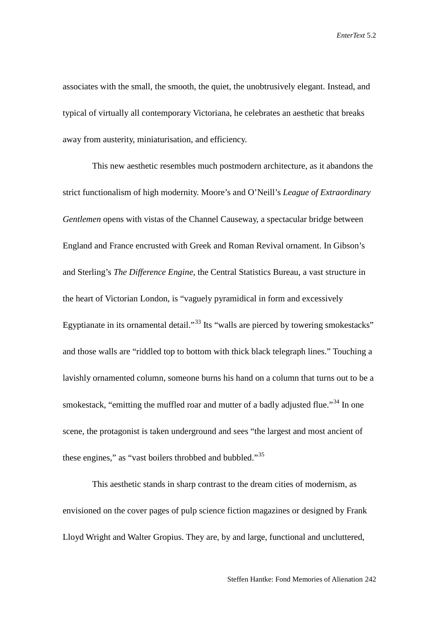associates with the small, the smooth, the quiet, the unobtrusively elegant. Instead, and typical of virtually all contemporary Victoriana, he celebrates an aesthetic that breaks away from austerity, miniaturisation, and efficiency.

This new aesthetic resembles much postmodern architecture, as it abandons the strict functionalism of high modernity. Moore's and O'Neill's *League of Extraordinary Gentlemen* opens with vistas of the Channel Causeway, a spectacular bridge between England and France encrusted with Greek and Roman Revival ornament. In Gibson's and Sterling's *The Difference Engine*, the Central Statistics Bureau, a vast structure in the heart of Victorian London, is "vaguely pyramidical in form and excessively Egyptianate in its ornamental detail."<sup>[33](#page-26-28)</sup> Its "walls are pierced by towering smokestacks" and those walls are "riddled top to bottom with thick black telegraph lines." Touching a lavishly ornamented column, someone burns his hand on a column that turns out to be a smokestack, "emitting the muffled roar and mutter of a badly adjusted flue."<sup>[34](#page-26-29)</sup> In one scene, the protagonist is taken underground and sees "the largest and most ancient of these engines," as "vast boilers throbbed and bubbled."<sup>[35](#page-26-30)</sup>

This aesthetic stands in sharp contrast to the dream cities of modernism, as envisioned on the cover pages of pulp science fiction magazines or designed by Frank Lloyd Wright and Walter Gropius. They are, by and large, functional and uncluttered,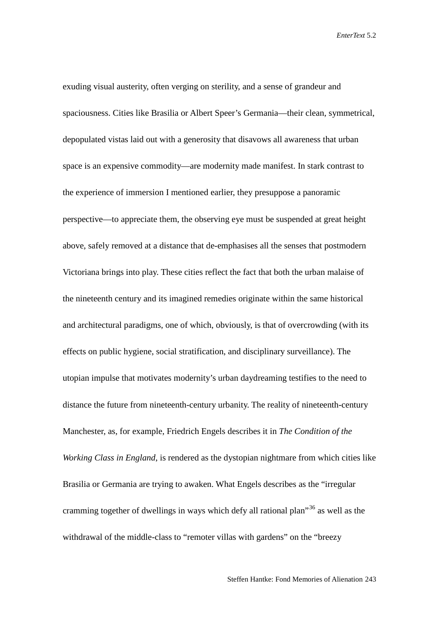exuding visual austerity, often verging on sterility, and a sense of grandeur and spaciousness. Cities like Brasilia or Albert Speer's Germania—their clean, symmetrical, depopulated vistas laid out with a generosity that disavows all awareness that urban space is an expensive commodity—are modernity made manifest. In stark contrast to the experience of immersion I mentioned earlier, they presuppose a panoramic perspective—to appreciate them, the observing eye must be suspended at great height above, safely removed at a distance that de-emphasises all the senses that postmodern Victoriana brings into play. These cities reflect the fact that both the urban malaise of the nineteenth century and its imagined remedies originate within the same historical and architectural paradigms, one of which, obviously, is that of overcrowding (with its effects on public hygiene, social stratification, and disciplinary surveillance). The utopian impulse that motivates modernity's urban daydreaming testifies to the need to distance the future from nineteenth-century urbanity. The reality of nineteenth-century Manchester, as, for example, Friedrich Engels describes it in *The Condition of the Working Class in England*, is rendered as the dystopian nightmare from which cities like Brasilia or Germania are trying to awaken. What Engels describes as the "irregular cramming together of dwellings in ways which defy all rational plan<sup> $36$ </sup> as well as the withdrawal of the middle-class to "remoter villas with gardens" on the "breezy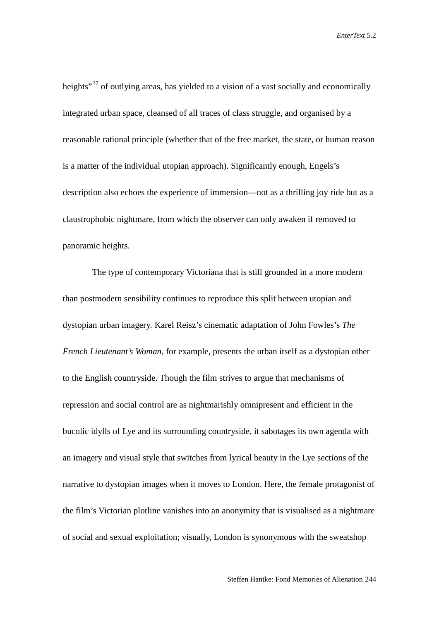heights<sup>"[37](#page-26-32)</sup> of outlying areas, has yielded to a vision of a vast socially and economically integrated urban space, cleansed of all traces of class struggle, and organised by a reasonable rational principle (whether that of the free market, the state, or human reason is a matter of the individual utopian approach). Significantly enough, Engels's description also echoes the experience of immersion—not as a thrilling joy ride but as a claustrophobic nightmare, from which the observer can only awaken if removed to panoramic heights.

The type of contemporary Victoriana that is still grounded in a more modern than postmodern sensibility continues to reproduce this split between utopian and dystopian urban imagery. Karel Reisz's cinematic adaptation of John Fowles's *The French Lieutenant's Woman*, for example, presents the urban itself as a dystopian other to the English countryside. Though the film strives to argue that mechanisms of repression and social control are as nightmarishly omnipresent and efficient in the bucolic idylls of Lye and its surrounding countryside, it sabotages its own agenda with an imagery and visual style that switches from lyrical beauty in the Lye sections of the narrative to dystopian images when it moves to London. Here, the female protagonist of the film's Victorian plotline vanishes into an anonymity that is visualised as a nightmare of social and sexual exploitation; visually, London is synonymous with the sweatshop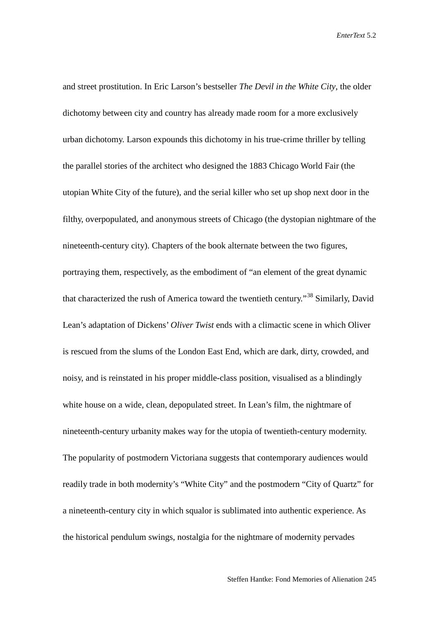and street prostitution. In Eric Larson's bestseller *The Devil in the White City*, the older dichotomy between city and country has already made room for a more exclusively urban dichotomy. Larson expounds this dichotomy in his true-crime thriller by telling the parallel stories of the architect who designed the 1883 Chicago World Fair (the utopian White City of the future), and the serial killer who set up shop next door in the filthy, overpopulated, and anonymous streets of Chicago (the dystopian nightmare of the nineteenth-century city). Chapters of the book alternate between the two figures, portraying them, respectively, as the embodiment of "an element of the great dynamic that characterized the rush of America toward the twentieth century."[38](#page-26-33) Similarly, David Lean's adaptation of Dickens' *Oliver Twist* ends with a climactic scene in which Oliver is rescued from the slums of the London East End, which are dark, dirty, crowded, and noisy, and is reinstated in his proper middle-class position, visualised as a blindingly white house on a wide, clean, depopulated street. In Lean's film, the nightmare of nineteenth-century urbanity makes way for the utopia of twentieth-century modernity. The popularity of postmodern Victoriana suggests that contemporary audiences would readily trade in both modernity's "White City" and the postmodern "City of Quartz" for a nineteenth-century city in which squalor is sublimated into authentic experience. As the historical pendulum swings, nostalgia for the nightmare of modernity pervades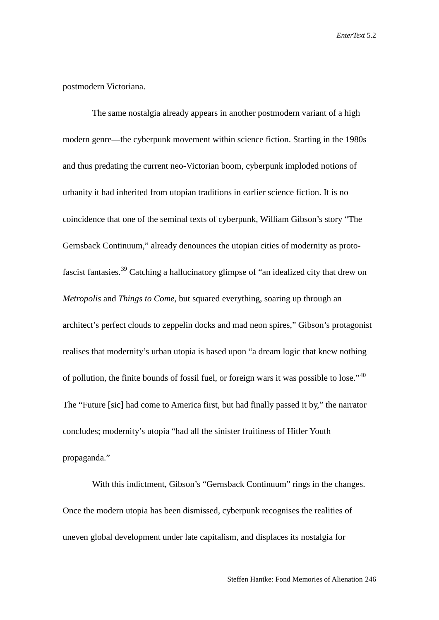## postmodern Victoriana.

The same nostalgia already appears in another postmodern variant of a high modern genre—the cyberpunk movement within science fiction. Starting in the 1980s and thus predating the current neo-Victorian boom, cyberpunk imploded notions of urbanity it had inherited from utopian traditions in earlier science fiction. It is no coincidence that one of the seminal texts of cyberpunk, William Gibson's story "The Gernsback Continuum," already denounces the utopian cities of modernity as protofascist fantasies.[39](#page-26-34) Catching a hallucinatory glimpse of "an idealized city that drew on *Metropolis* and *Things to Come*, but squared everything, soaring up through an architect's perfect clouds to zeppelin docks and mad neon spires," Gibson's protagonist realises that modernity's urban utopia is based upon "a dream logic that knew nothing of pollution, the finite bounds of fossil fuel, or foreign wars it was possible to lose."[40](#page-26-35) The "Future [sic] had come to America first, but had finally passed it by," the narrator concludes; modernity's utopia "had all the sinister fruitiness of Hitler Youth propaganda."

With this indictment, Gibson's "Gernsback Continuum" rings in the changes. Once the modern utopia has been dismissed, cyberpunk recognises the realities of uneven global development under late capitalism, and displaces its nostalgia for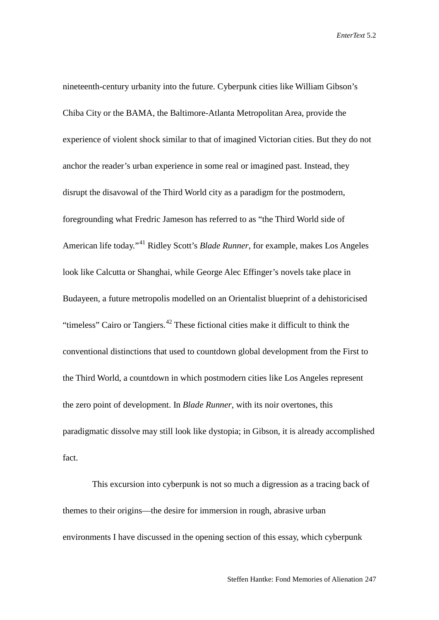nineteenth-century urbanity into the future. Cyberpunk cities like William Gibson's Chiba City or the BAMA, the Baltimore-Atlanta Metropolitan Area, provide the experience of violent shock similar to that of imagined Victorian cities. But they do not anchor the reader's urban experience in some real or imagined past. Instead, they disrupt the disavowal of the Third World city as a paradigm for the postmodern, foregrounding what Fredric Jameson has referred to as "the Third World side of American life today."[41](#page-26-36) Ridley Scott's *Blade Runner*, for example, makes Los Angeles look like Calcutta or Shanghai, while George Alec Effinger's novels take place in Budayeen, a future metropolis modelled on an Orientalist blueprint of a dehistoricised "timeless" Cairo or Tangiers. $42$  These fictional cities make it difficult to think the conventional distinctions that used to countdown global development from the First to the Third World, a countdown in which postmodern cities like Los Angeles represent the zero point of development. In *Blade Runner*, with its noir overtones, this paradigmatic dissolve may still look like dystopia; in Gibson, it is already accomplished fact.

This excursion into cyberpunk is not so much a digression as a tracing back of themes to their origins—the desire for immersion in rough, abrasive urban environments I have discussed in the opening section of this essay, which cyberpunk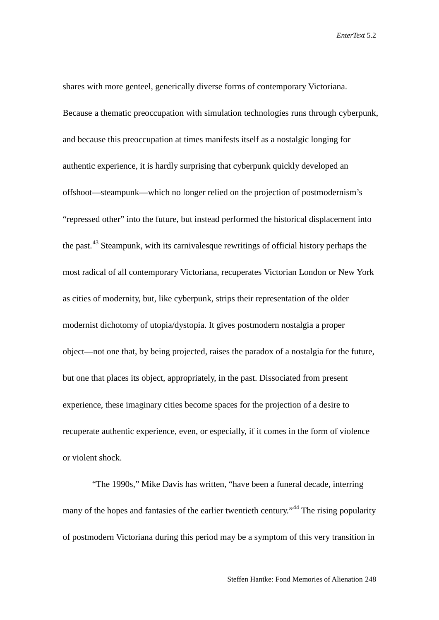shares with more genteel, generically diverse forms of contemporary Victoriana. Because a thematic preoccupation with simulation technologies runs through cyberpunk, and because this preoccupation at times manifests itself as a nostalgic longing for authentic experience, it is hardly surprising that cyberpunk quickly developed an offshoot—steampunk—which no longer relied on the projection of postmodernism's "repressed other" into the future, but instead performed the historical displacement into the past.<sup>[43](#page-26-38)</sup> Steampunk, with its carnivalesque rewritings of official history perhaps the most radical of all contemporary Victoriana, recuperates Victorian London or New York as cities of modernity, but, like cyberpunk, strips their representation of the older modernist dichotomy of utopia/dystopia. It gives postmodern nostalgia a proper object—not one that, by being projected, raises the paradox of a nostalgia for the future, but one that places its object, appropriately, in the past. Dissociated from present experience, these imaginary cities become spaces for the projection of a desire to recuperate authentic experience, even, or especially, if it comes in the form of violence or violent shock.

"The 1990s," Mike Davis has written, "have been a funeral decade, interring many of the hopes and fantasies of the earlier twentieth century."<sup>[44](#page-26-39)</sup> The rising popularity of postmodern Victoriana during this period may be a symptom of this very transition in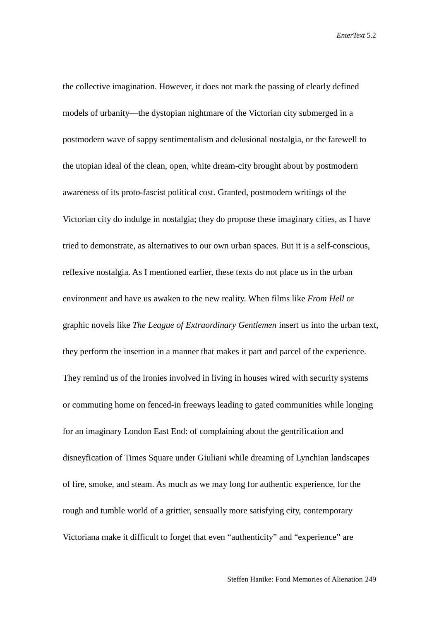the collective imagination. However, it does not mark the passing of clearly defined models of urbanity—the dystopian nightmare of the Victorian city submerged in a postmodern wave of sappy sentimentalism and delusional nostalgia, or the farewell to the utopian ideal of the clean, open, white dream-city brought about by postmodern awareness of its proto-fascist political cost. Granted, postmodern writings of the Victorian city do indulge in nostalgia; they do propose these imaginary cities, as I have tried to demonstrate, as alternatives to our own urban spaces. But it is a self-conscious, reflexive nostalgia. As I mentioned earlier, these texts do not place us in the urban environment and have us awaken to the new reality. When films like *From Hell* or graphic novels like *The League of Extraordinary Gentlemen* insert us into the urban text, they perform the insertion in a manner that makes it part and parcel of the experience. They remind us of the ironies involved in living in houses wired with security systems or commuting home on fenced-in freeways leading to gated communities while longing for an imaginary London East End: of complaining about the gentrification and disneyfication of Times Square under Giuliani while dreaming of Lynchian landscapes of fire, smoke, and steam. As much as we may long for authentic experience, for the rough and tumble world of a grittier, sensually more satisfying city, contemporary Victoriana make it difficult to forget that even "authenticity" and "experience" are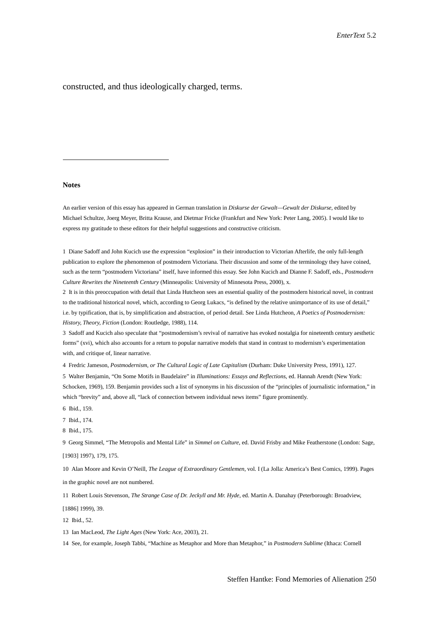constructed, and thus ideologically charged, terms.

## <span id="page-24-0"></span>**Notes**

-

An earlier version of this essay has appeared in German translation in *Diskurse der Gewalt—Gewalt der Diskurse*, edited by Michael Schultze, Joerg Meyer, Britta Krause, and Dietmar Fricke (Frankfurt and New York: Peter Lang, 2005). I would like to express my gratitude to these editors for their helpful suggestions and constructive criticism.

1 Diane Sadoff and John Kucich use the expression "explosion" in their introduction to Victorian Afterlife, the only full-length publication to explore the phenomenon of postmodern Victoriana. Their discussion and some of the terminology they have coined, such as the term "postmodern Victoriana" itself, have informed this essay. See John Kucich and Dianne F. Sadoff, eds., *Postmodern Culture Rewrites the Nineteenth Century* (Minneapolis: University of Minnesota Press, 2000), x.

2 It is in this preoccupation with detail that Linda Hutcheon sees an essential quality of the postmodern historical novel, in contrast to the traditional historical novel, which, according to Georg Lukacs, "is defined by the relative unimportance of its use of detail," i.e. by typification, that is, by simplification and abstraction, of period detail. See Linda Hutcheon, *A Poetics of Postmodernism: History, Theory, Fiction* (London: Routledge, 1988), 114.

3 Sadoff and Kucich also speculate that "postmodernism's revival of narrative has evoked nostalgia for nineteenth century aesthetic forms" (xvi), which also accounts for a return to popular narrative models that stand in contrast to modernism's experimentation with, and critique of, linear narrative.

4 Fredric Jameson, *Postmodernism, or The Cultural Logic of Late Capitalism* (Durham: Duke University Press, 1991), 127.

5 Walter Benjamin, "On Some Motifs in Baudelaire" in *Illuminations: Essays and Reflections*, ed. Hannah Arendt (New York: Schocken, 1969), 159. Benjamin provides such a list of synonyms in his discussion of the "principles of journalistic information," in which "brevity" and, above all, "lack of connection between individual news items" figure prominently.

6 Ibid., 159.

7 Ibid., 174.

8 Ibid., 175.

9 Georg Simmel, "The Metropolis and Mental Life" in *Simmel on Culture*, ed. David Frisby and Mike Featherstone (London: Sage, [1903] 1997), 179, 175.

10 Alan Moore and Kevin O'Neill, *The League of Extraordinary Gentlemen*, vol. I (La Jolla: America's Best Comics, 1999). Pages in the graphic novel are not numbered.

11 Robert Louis Stevenson, *The Strange Case of Dr. Jeckyll and Mr. Hyde*, ed. Martin A. Danahay (Peterborough: Broadview, [1886] 1999), 39.

12 Ibid., 52.

13 Ian MacLeod, *The Light Ages* (New York: Ace, 2003), 21.

14 See, for example, Joseph Tabbi, "Machine as Metaphor and More than Metaphor," in *Postmodern Sublime* (Ithaca: Cornell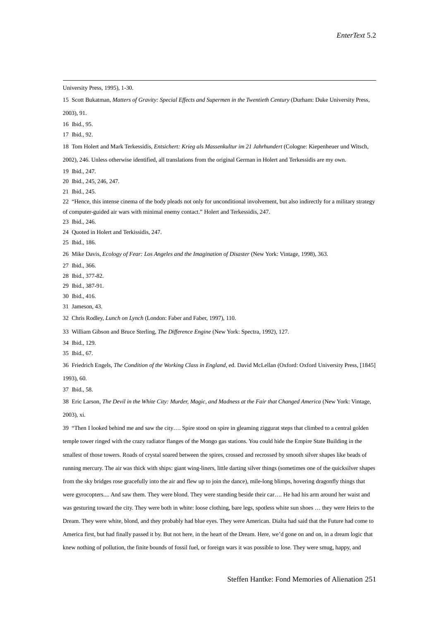<span id="page-25-2"></span><span id="page-25-1"></span><span id="page-25-0"></span> "Then I looked behind me and saw the city…. Spire stood on spire in gleaming ziggurat steps that climbed to a central golden temple tower ringed with the crazy radiator flanges of the Mongo gas stations. You could hide the Empire State Building in the smallest of those towers. Roads of crystal soared between the spires, crossed and recrossed by smooth silver shapes like beads of running mercury. The air was thick with ships: giant wing-liners, little darting silver things (sometimes one of the quicksilver shapes from the sky bridges rose gracefully into the air and flew up to join the dance), mile-long blimps, hovering dragonfly things that were gyrocopters.... And saw them. They were blond. They were standing beside their car…. He had his arm around her waist and was gesturing toward the city. They were both in white: loose clothing, bare legs, spotless white sun shoes … they were Heirs to the Dream. They were white, blond, and they probably had blue eyes. They were American. Dialta had said that the Future had come to America first, but had finally passed it by. But not here, in the heart of the Dream. Here, we'd gone on and on, in a dream logic that knew nothing of pollution, the finite bounds of fossil fuel, or foreign wars it was possible to lose. They were smug, happy, and

Steffen Hantke: Fond Memories of Alienation 251

University Press, 1995), 1-30. Scott Bukatman, *Matters of Gravity: Special Effects and Supermen in the Twentieth Century* (Durham: Duke University Press, 2003), 91. Ibid., 95. Ibid., 92. Tom Holert and Mark Terkessidis, *Entsichert: Krieg als Massenkultur im 21 Jahrhundert* (Cologne: Kiepenheuer und Witsch, 2002), 246. Unless otherwise identified, all translations from the original German in Holert and Terkessidis are my own. Ibid., 247. Ibid., 245, 246, 247. Ibid., 245. "Hence, this intense cinema of the body pleads not only for unconditional involvement, but also indirectly for a military strategy of computer-guided air wars with minimal enemy contact." Holert and Terkessidis, 247. Ibid., 246. Quoted in Holert and Terkissidis, 247. Ibid., 186. Mike Davis, *Ecology of Fear: Los Angeles and the Imagination of Disaster* (New York: Vintage, 1998), 363. Ibid., 366. Ibid., 377-82. Ibid., 387-91. Ibid., 416. Jameson, 43. Chris Rodley, *Lunch on Lynch* (London: Faber and Faber, 1997), 110. William Gibson and Bruce Sterling, *The Difference Engine* (New York: Spectra, 1992), 127. Ibid., 129. Ibid., 67. Friedrich Engels, *The Condition of the Working Class in England*, ed. David McLellan (Oxford: Oxford University Press, [1845] 1993), 60. Ibid., 58. Eric Larson, *The Devil in the White City: Murder, Magic, and Madness at the Fair that Changed America* (New York: Vintage, 2003), xi.